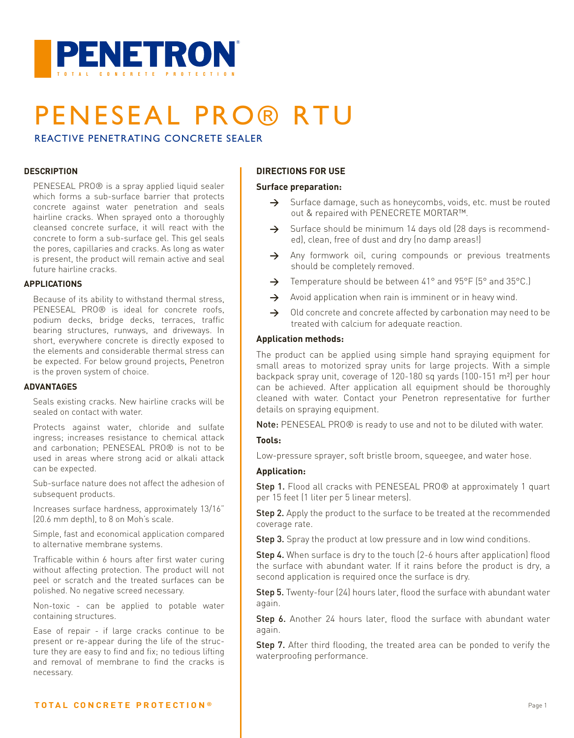

# PENESEAL PRO® RTU

REACTIVE PENETRATING CONCRETE SEALER

#### **DESCRIPTION**

PENESEAL PRO® is a spray applied liquid sealer which forms a sub-surface barrier that protects concrete against water penetration and seals hairline cracks. When sprayed onto a thoroughly cleansed concrete surface, it will react with the concrete to form a sub-surface gel. This gel seals the pores, capillaries and cracks. As long as water is present, the product will remain active and seal future hairline cracks.

#### **APPLICATIONS**

Because of its ability to withstand thermal stress, PENESEAL PRO® is ideal for concrete roofs, podium decks, bridge decks, terraces, traffic bearing structures, runways, and driveways. In short, everywhere concrete is directly exposed to the elements and considerable thermal stress can be expected. For below ground projects, Penetron is the proven system of choice.

#### **ADVANTAGES**

Seals existing cracks. New hairline cracks will be sealed on contact with water.

Protects against water, chloride and sulfate ingress; increases resistance to chemical attack and carbonation; PENESEAL PRO® is not to be used in areas where strong acid or alkali attack can be expected.

Sub-surface nature does not affect the adhesion of subsequent products.

Increases surface hardness, approximately 13/16" (20.6 mm depth), to 8 on Moh's scale.

Simple, fast and economical application compared to alternative membrane systems.

Trafficable within 6 hours after first water curing without affecting protection. The product will not peel or scratch and the treated surfaces can be polished. No negative screed necessary.

Non-toxic - can be applied to potable water containing structures.

Ease of repair - if large cracks continue to be present or re-appear during the life of the structure they are easy to find and fix; no tedious lifting and removal of membrane to find the cracks is necessary.

#### **DIRECTIONS FOR USE**

#### **Surface preparation:**

- $\rightarrow$  Surface damage, such as honeycombs, voids, etc. must be routed out & repaired with PENECRETE MORTAR™.
- → Surface should be minimum 14 days old (28 days is recommended), clean, free of dust and dry (no damp areas!)
- $\rightarrow$  Any formwork oil, curing compounds or previous treatments should be completely removed.
- → Temperature should be between 41° and 95°F (5° and 35°C.)
- Avoid application when rain is imminent or in heavy wind.
- $\rightarrow$  Old concrete and concrete affected by carbonation may need to be treated with calcium for adequate reaction.

#### **Application methods:**

The product can be applied using simple hand spraying equipment for small areas to motorized spray units for large projects. With a simple backpack spray unit, coverage of 120-180 sq yards (100-151 m²) per hour can be achieved. After application all equipment should be thoroughly cleaned with water. Contact your Penetron representative for further details on spraying equipment.

Note: PENESEAL PRO® is ready to use and not to be diluted with water.

#### **Tools:**

Low-pressure sprayer, soft bristle broom, squeegee, and water hose.

#### **Application:**

Step 1. Flood all cracks with PENESEAL PRO® at approximately 1 quart per 15 feet (1 liter per 5 linear meters).

Step 2. Apply the product to the surface to be treated at the recommended coverage rate.

Step 3. Spray the product at low pressure and in low wind conditions.

Step 4. When surface is dry to the touch (2-6 hours after application) flood the surface with abundant water. If it rains before the product is dry, a second application is required once the surface is dry.

Step 5. Twenty-four (24) hours later, flood the surface with abundant water again.

Step 6. Another 24 hours later, flood the surface with abundant water again.

Step 7. After third flooding, the treated area can be ponded to verify the waterproofing performance.